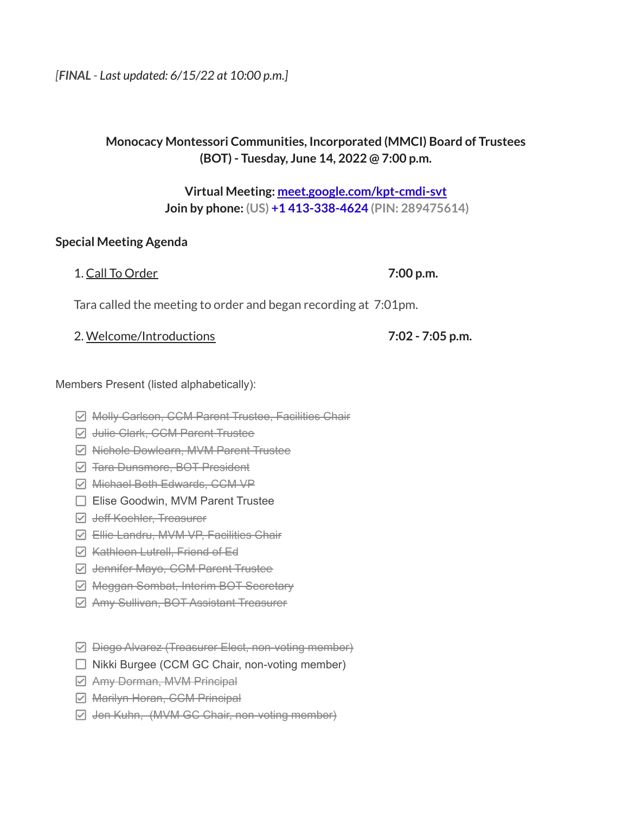## **Monocacy Montessori Communities, Incorporated (MMCI) Board of Trustees (BOT) - Tuesday, June 14, 2022 @ 7:00 p.m.**

**Virtual Meeting: [meet.google.com/kpt-cmdi-svt](https://meet.google.com/kpt-cmdi-svt?hs=224) Join by phone: (US) +1 413-338-4624 (PIN: 289475614)**

1. Call To Order **7:00 p.m.**

#### **Special Meeting Agenda**

|  | . Call To Order |
|--|-----------------|
|  |                 |

Tara called the meeting to order and began recording at 7:01pm.

2. Welcome/Introductions **7:02 - 7:05 p.m.**

Members Present (listed alphabetically):

- **Ø Molly Carlson, CCM Parent Trustee, Facilities Chair**
- $\Box$  Julie Clark, CCM Parent Trustee
- **Ø Nichole Dowlearn, MVM Parent Trustee**
- $\boxdot$  **Tara Dunsmore, BOT President**
- Michael Beth Edwards, CCM VP
- □ Elise Goodwin, MVM Parent Trustee
- **Z** Jeff Koehler, Treasurer
- **Z** Ellie Landru, MVM VP, Facilities Chair
- $\triangledown$  **Kathleen Lutrell, Friend of Ed**
- **Ø Jennifer Mayo, CCM Parent Trustee**
- **Ø Meggan Sombat, Interim BOT Secretary**
- **Z** Amy Sullivan, BOT Assistant Treasurer
- Diego Alvarez (Treasurer Elect, non-voting member)
- $\Box$  Nikki Burgee (CCM GC Chair, non-voting member)
- Amy Dorman, MVM Principal
- **Ø** Marilyn Horan, CCM Principal
- $\boxdot$  Jen Kuhn, (MVM GC Chair, non-voting member)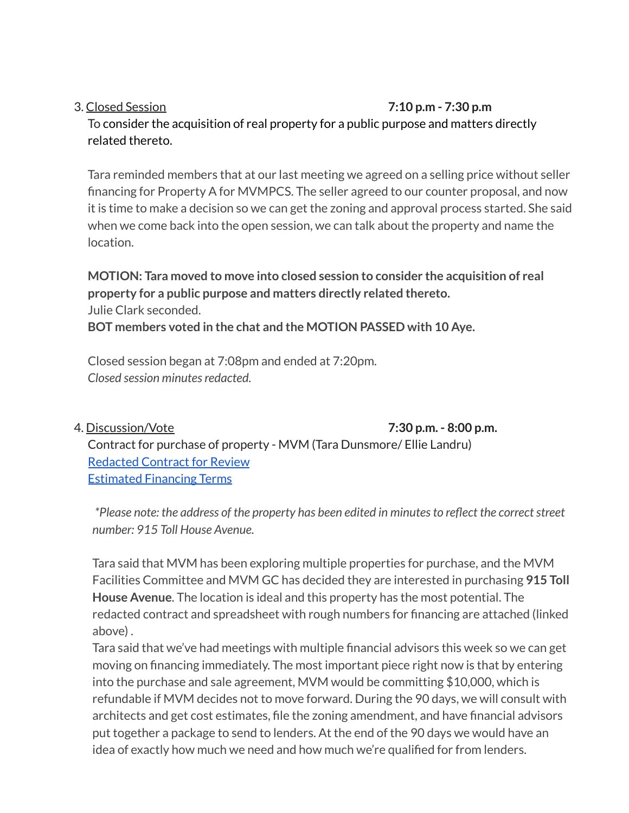#### 3. Closed Session **7:10 p.m - 7:30 p.m**

To consider the acquisition of real property for a public purpose and matters directly related thereto.

Tara reminded members that at our last meeting we agreed on a selling price without seller financing for Property A for MVMPCS. The seller agreed to our counter proposal, and now it is time to make a decision so we can get the zoning and approval process started. She said when we come back into the open session, we can talk about the property and name the location.

**MOTION: Tara moved to move into closed session to consider the acquisition of real property for a public purpose and matters directly related thereto.** Julie Clark seconded. **BOT members voted in the chat and the MOTION PASSED with 10 Aye.**

Closed session began at 7:08pm and ended at 7:20pm. *Closed session minutesredacted.*

4. Discussion/Vote **7:30 p.m. - 8:00 p.m.**

Contract for purchase of property - MVM (Tara Dunsmore/ Ellie Landru) [Redacted](https://drive.google.com/file/d/1pKCWcFSIJv1-k4SNpDCOfK8qbqc8ITZH/view?usp=sharing) Contract for Review [Estimated](https://docs.google.com/spreadsheets/u/3/d/1cRPRlXbmVxcFphVSpnwVYTj7X5UryfP1_5Upnn3126Y/edit) Financing Terms

*\*Please note: the address of the property has been edited in minutesto reflect the correctstreet number: 915 Toll House Avenue.*

Tara said that MVM has been exploring multiple properties for purchase, and the MVM Facilities Committee and MVM GC has decided they are interested in purchasing **915 Toll House Avenue**. The location is ideal and this property has the most potential. The redacted contract and spreadsheet with rough numbers for financing are attached (linked above) .

Tara said that we've had meetings with multiple financial advisors this week so we can get moving on financing immediately. The most important piece right now is that by entering into the purchase and sale agreement, MVM would be committing \$10,000, which is refundable if MVM decides not to move forward. During the 90 days, we will consult with architects and get cost estimates, file the zoning amendment, and have financial advisors put together a package to send to lenders. At the end of the 90 days we would have an idea of exactly how much we need and how much we're qualified for from lenders.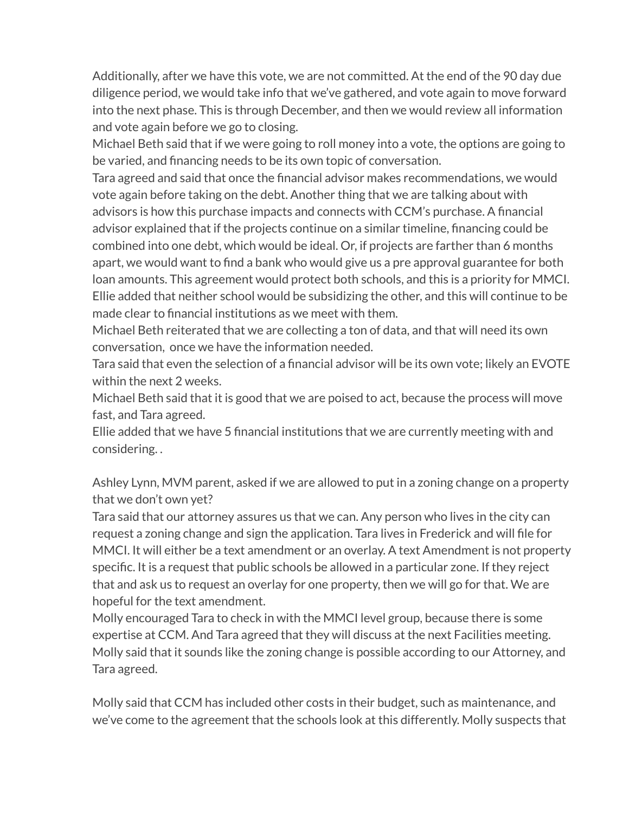Additionally, after we have this vote, we are not committed. At the end of the 90 day due diligence period, we would take info that we've gathered, and vote again to move forward into the next phase. This is through December, and then we would review all information and vote again before we go to closing.

Michael Beth said that if we were going to roll money into a vote, the options are going to be varied, and financing needs to be its own topic of conversation.

Tara agreed and said that once the financial advisor makes recommendations, we would vote again before taking on the debt. Another thing that we are talking about with advisors is how this purchase impacts and connects with CCM's purchase. A financial advisor explained that if the projects continue on a similar timeline, financing could be combined into one debt, which would be ideal. Or, if projects are farther than 6 months apart, we would want to find a bank who would give us a pre approval guarantee for both loan amounts. This agreement would protect both schools, and this is a priority for MMCI. Ellie added that neither school would be subsidizing the other, and this will continue to be made clear to financial institutions as we meet with them.

Michael Beth reiterated that we are collecting a ton of data, and that will need its own conversation, once we have the information needed.

Tara said that even the selection of a financial advisor will be its own vote; likely an EVOTE within the next 2 weeks.

Michael Beth said that it is good that we are poised to act, because the process will move fast, and Tara agreed.

Ellie added that we have 5 financial institutions that we are currently meeting with and considering. .

Ashley Lynn, MVM parent, asked if we are allowed to put in a zoning change on a property that we don't own yet?

Tara said that our attorney assures us that we can. Any person who lives in the city can request a zoning change and sign the application. Tara lives in Frederick and will file for MMCI. It will either be a text amendment or an overlay. A text Amendment is not property specific. It is a request that public schools be allowed in a particular zone. If they reject that and ask us to request an overlay for one property, then we will go for that. We are hopeful for the text amendment.

Molly encouraged Tara to check in with the MMCI level group, because there is some expertise at CCM. And Tara agreed that they will discuss at the next Facilities meeting. Molly said that it sounds like the zoning change is possible according to our Attorney, and Tara agreed.

Molly said that CCM has included other costs in their budget, such as maintenance, and we've come to the agreement that the schools look at this differently. Molly suspects that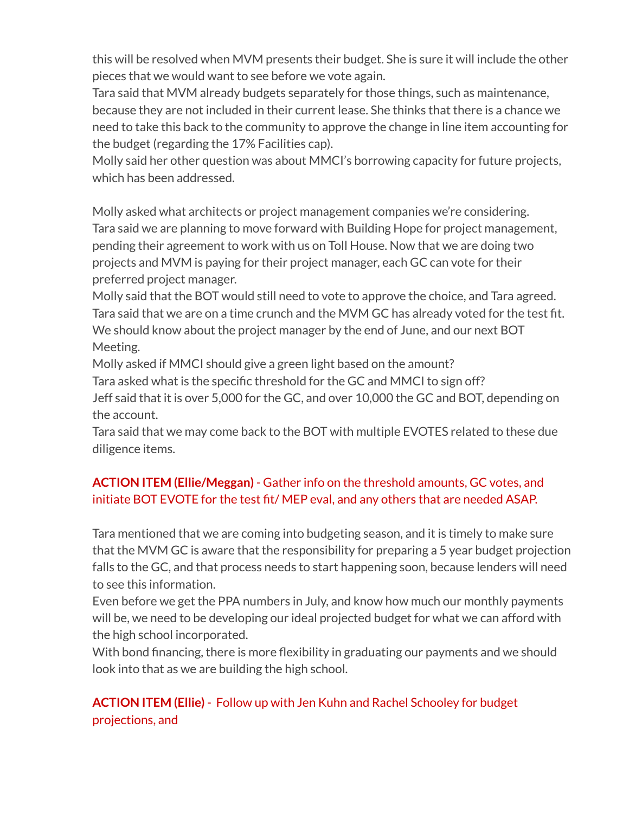this will be resolved when MVM presents their budget. She is sure it will include the other pieces that we would want to see before we vote again.

Tara said that MVM already budgets separately for those things, such as maintenance, because they are not included in their current lease. She thinks that there is a chance we need to take this back to the community to approve the change in line item accounting for the budget (regarding the 17% Facilities cap).

Molly said her other question was about MMCI's borrowing capacity for future projects, which has been addressed.

Molly asked what architects or project management companies we're considering. Tara said we are planning to move forward with Building Hope for project management, pending their agreement to work with us on Toll House. Now that we are doing two projects and MVM is paying for their project manager, each GC can vote for their preferred project manager.

Molly said that the BOT would still need to vote to approve the choice, and Tara agreed. Tara said that we are on a time crunch and the MVM GC has already voted for the test fit. We should know about the project manager by the end of June, and our next BOT Meeting.

Molly asked if MMCI should give a green light based on the amount?

Tara asked what is the specific threshold for the GC and MMCI to sign off?

Jeff said that it is over 5,000 for the GC, and over 10,000 the GC and BOT, depending on the account.

Tara said that we may come back to the BOT with multiple EVOTES related to these due diligence items.

# **ACTION ITEM (Ellie/Meggan)** - Gather info on the threshold amounts, GC votes, and initiate BOT EVOTE for the test fit/ MEP eval, and any others that are needed ASAP.

Tara mentioned that we are coming into budgeting season, and it is timely to make sure that the MVM GC is aware that the responsibility for preparing a 5 year budget projection falls to the GC, and that process needs to start happening soon, because lenders will need to see this information.

Even before we get the PPA numbers in July, and know how much our monthly payments will be, we need to be developing our ideal projected budget for what we can afford with the high school incorporated.

With bond financing, there is more flexibility in graduating our payments and we should look into that as we are building the high school.

# **ACTION ITEM (Ellie)** - Follow up with Jen Kuhn and Rachel Schooley for budget projections, and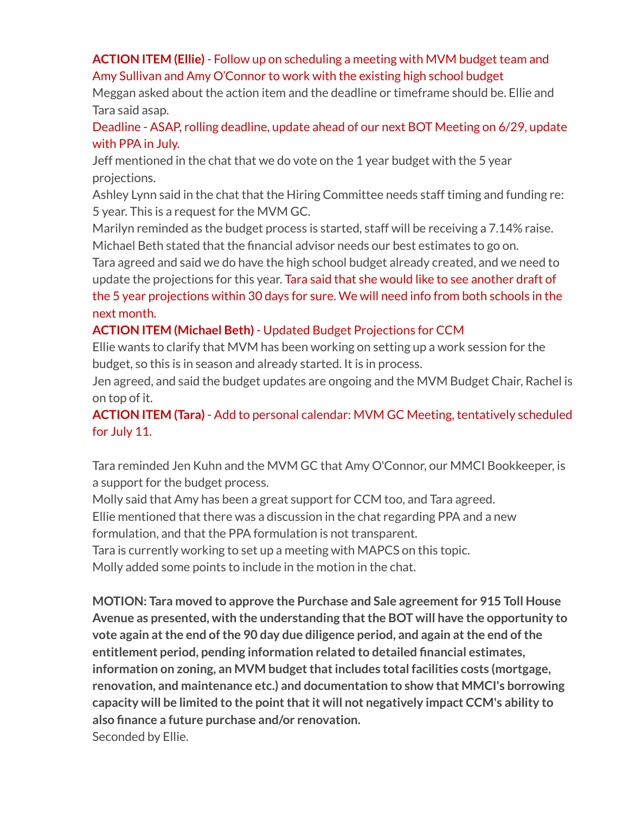## **ACTION ITEM (Ellie)** - Follow up on scheduling a meeting with MVM budget team and Amy Sullivan and Amy O'Connor to work with the existing high school budget

Meggan asked about the action item and the deadline or timeframe should be. Ellie and Tara said asap.

Deadline - ASAP, rolling deadline, update ahead of our next BOT Meeting on 6/29, update with PPA in July.

Jeff mentioned in the chat that we do vote on the 1 year budget with the 5 year projections.

Ashley Lynn said in the chat that the Hiring Committee needs staff timing and funding re: 5 year. This is a request for the MVM GC.

Marilyn reminded as the budget process is started, staff will be receiving a 7.14% raise. Michael Beth stated that the financial advisor needs our best estimates to go on.

Tara agreed and said we do have the high school budget already created, and we need to update the projections for this year. Tara said that she would like to see another draft of the 5 year projections within 30 days for sure. We will need info from both schools in the next month.

## **ACTION ITEM (Michael Beth)** - Updated Budget Projections for CCM

Ellie wants to clarify that MVM has been working on setting up a work session for the budget, so this is in season and already started. It is in process.

Jen agreed, and said the budget updates are ongoing and the MVM Budget Chair, Rachel is on top of it.

**ACTION ITEM (Tara)** - Add to personal calendar: MVM GC Meeting, tentatively scheduled for July 11.

Tara reminded Jen Kuhn and the MVM GC that Amy O'Connor, our MMCI Bookkeeper, is a support for the budget process.

Molly said that Amy has been a great support for CCM too, and Tara agreed.

Ellie mentioned that there was a discussion in the chat regarding PPA and a new

formulation, and that the PPA formulation is not transparent.

Tara is currently working to set up a meeting with MAPCS on this topic.

Molly added some points to include in the motion in the chat.

**MOTION: Tara moved to approve the Purchase and Sale agreementfor 915 Toll House Avenue as presented, with the understanding thatthe BOT will have the opportunity to vote again atthe end ofthe 90 day due diligence period, and again atthe end ofthe entitlement period, pending information related to detailed financial estimates, information** on zoning, an MVM budget that includes total facilities costs (mortgage, **renovation, and maintenance etc.) and documentation to show that MMCI's borrowing capacity will be limited to the pointthatit will not negatively impact CCM's ability to also finance a future purchase and/or renovation.** Seconded by Ellie.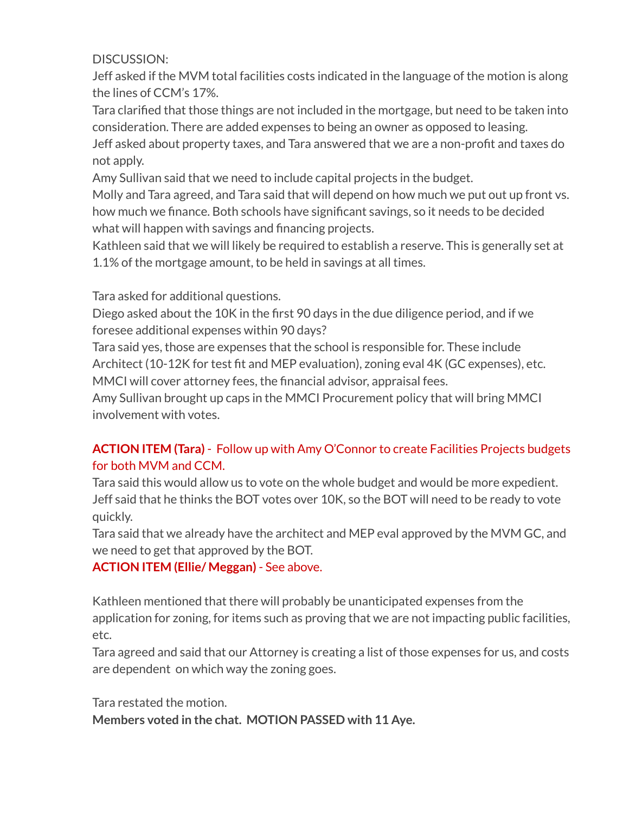#### DISCUSSION:

Jeff asked if the MVM total facilities costs indicated in the language of the motion is along the lines of CCM's 17%.

Tara clarified that those things are not included in the mortgage, but need to be taken into consideration. There are added expenses to being an owner as opposed to leasing.

Jeff asked about property taxes, and Tara answered that we are a non-profit and taxes do not apply.

Amy Sullivan said that we need to include capital projects in the budget.

Molly and Tara agreed, and Tara said that will depend on how much we put out up front vs. how much we finance. Both schools have significant savings, so it needs to be decided what will happen with savings and financing projects.

Kathleen said that we will likely be required to establish a reserve. This is generally set at 1.1% of the mortgage amount, to be held in savings at all times.

Tara asked for additional questions.

Diego asked about the 10K in the first 90 days in the due diligence period, and if we foresee additional expenses within 90 days?

Tara said yes, those are expenses that the school is responsible for. These include Architect (10-12K for test fit and MEP evaluation), zoning eval 4K (GC expenses), etc. MMCI will cover attorney fees, the financial advisor, appraisal fees.

Amy Sullivan brought up caps in the MMCI Procurement policy that will bring MMCI involvement with votes.

## **ACTION ITEM (Tara)** - Follow up with Amy O'Connor to create Facilities Projects budgets for both MVM and CCM.

Tara said this would allow us to vote on the whole budget and would be more expedient. Jeff said that he thinks the BOT votes over 10K, so the BOT will need to be ready to vote quickly.

Tara said that we already have the architect and MEP eval approved by the MVM GC, and we need to get that approved by the BOT.

**ACTION ITEM (Ellie/ Meggan)** - See above.

Kathleen mentioned that there will probably be unanticipated expenses from the application for zoning, for items such as proving that we are not impacting public facilities, etc.

Tara agreed and said that our Attorney is creating a list of those expenses for us, and costs are dependent on which way the zoning goes.

Tara restated the motion.

**Members voted in the chat. MOTION PASSED with 11 Aye.**